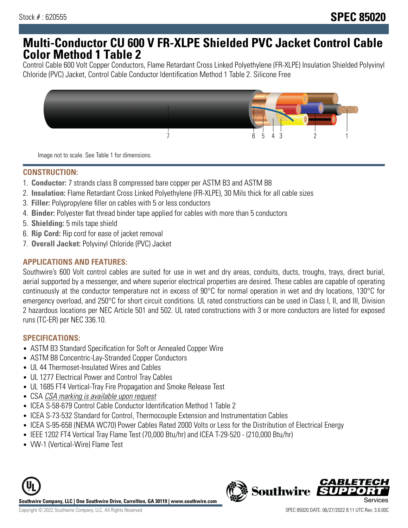# **Multi-Conductor CU 600 V FR-XLPE Shielded PVC Jacket Control Cable Color Method 1 Table 2**

Control Cable 600 Volt Copper Conductors, Flame Retardant Cross Linked Polyethylene (FR-XLPE) Insulation Shielded Polyvinyl Chloride (PVC) Jacket, Control Cable Conductor Identification Method 1 Table 2. Silicone Free



Image not to scale. See Table 1 for dimensions.

### **CONSTRUCTION:**

- 1. **Conductor:** 7 strands class B compressed bare copper per ASTM B3 and ASTM B8
- 2. **Insulation:** Flame Retardant Cross Linked Polyethylene (FR-XLPE), 30 Mils thick for all cable sizes
- 3. **Filler:** Polypropylene filler on cables with 5 or less conductors
- 4. **Binder:** Polyester flat thread binder tape applied for cables with more than 5 conductors
- 5. **Shielding:** 5 mils tape shield
- 6. **Rip Cord:** Rip cord for ease of jacket removal
- 7. **Overall Jacket:** Polyvinyl Chloride (PVC) Jacket

#### **APPLICATIONS AND FEATURES:**

Southwire's 600 Volt control cables are suited for use in wet and dry areas, conduits, ducts, troughs, trays, direct burial, aerial supported by a messenger, and where superior electrical properties are desired. These cables are capable of operating continuously at the conductor temperature not in excess of 90°C for normal operation in wet and dry locations, 130°C for emergency overload, and 250°C for short circuit conditions. UL rated constructions can be used in Class I, II, and III, Division 2 hazardous locations per NEC Article 501 and 502. UL rated constructions with 3 or more conductors are listed for exposed runs (TC-ER) per NEC 336.10.

### **SPECIFICATIONS:**

- ASTM B3 Standard Specification for Soft or Annealed Copper Wire
- ASTM B8 Concentric-Lay-Stranded Copper Conductors
- UL 44 Thermoset-Insulated Wires and Cables
- UL 1277 Electrical Power and Control Tray Cables
- UL 1685 FT4 Vertical-Tray Fire Propagation and Smoke Release Test
- CSA CSA marking is available upon request
- ICEA S-58-679 Control Cable Conductor Identification Method 1 Table 2
- ICEA S-73-532 Standard for Control, Thermocouple Extension and Instrumentation Cables
- ICEA S-95-658 (NEMA WC70) Power Cables Rated 2000 Volts or Less for the Distribution of Electrical Energy
- IEEE 1202 FT4 Vertical Tray Flame Test (70,000 Btu/hr) and ICEA T-29-520 (210,000 Btu/hr)
- VW-1 (Vertical-Wire) Flame Test



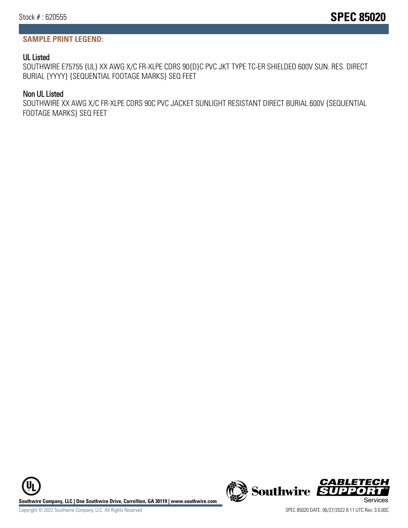## **SAMPLE PRINT LEGEND:**

## UL Listed

SOUTHWIRE E75755 {UL} XX AWG X/C FR-XLPE CDRS 90{D}C PVC JKT TYPE TC-ER SHIELDED 600V SUN. RES. DIRECT BURIAL {YYYY} {SEQUENTIAL FOOTAGE MARKS} SEQ FEET

## Non UL Listed

SOUTHWIRE XX AWG X/C FR-XLPE CDRS 90C PVC JACKET SUNLIGHT RESISTANT DIRECT BURIAL 600V {SEQUENTIAL FOOTAGE MARKS} SEQ FEET